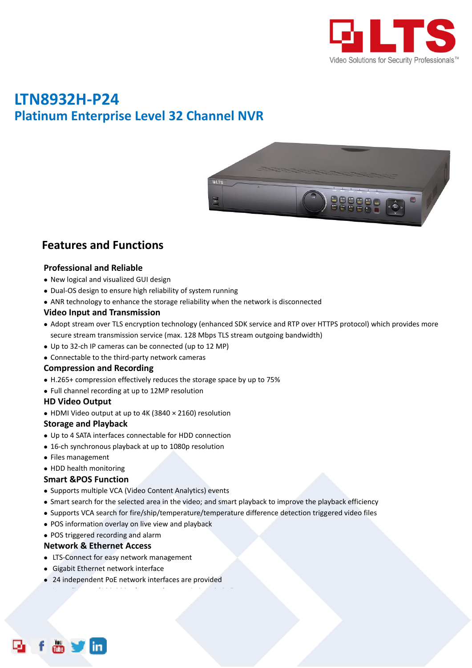

## **LTN8932H-P24 Platinum Enterprise Level 32 Channel NVR**



### **Features and Functions**

#### **Professional and Reliable**

- New logical and visualized GUI design
- Dual-OS design to ensure high reliability of system running
- ANR technology to enhance the storage reliability when the network is disconnected

#### **Video Input and Transmission**

- Adopt stream over TLS encryption technology (enhanced SDK service and RTP over HTTPS protocol) which provides more secure stream transmission service (max. 128 Mbps TLS stream outgoing bandwidth)
- Up to 32-ch IP cameras can be connected (up to 12 MP)
- Connectable to the third-party network cameras

#### **Compression and Recording**

- H.265+ compression effectively reduces the storage space by up to 75%
- Full channel recording at up to 12MP resolution

#### **HD Video Output**

HDMI Video output at up to 4K (3840 × 2160) resolution

#### **Storage and Playback**

- Up to 4 SATA interfaces connectable for HDD connection
- 16-ch synchronous playback at up to 1080p resolution
- Files management
- HDD health monitoring

#### **Smart &POS Function**

- Supports multiple VCA (Video Content Analytics) events
- Smart search for the selected area in the video; and smart playback to improve the playback efficiency
- Supports VCA search for fire/ship/temperature/temperature difference detection triggered video files
- POS information overlay on live view and playback
- POS triggered recording and alarm

#### **Network & Ethernet Access**

- LTS-Connect for easy network management
- Gigabit Ethernet network interface
- 24 independent PoE network interfaces are provided Long distance (100-300 m) network transmission via PoE

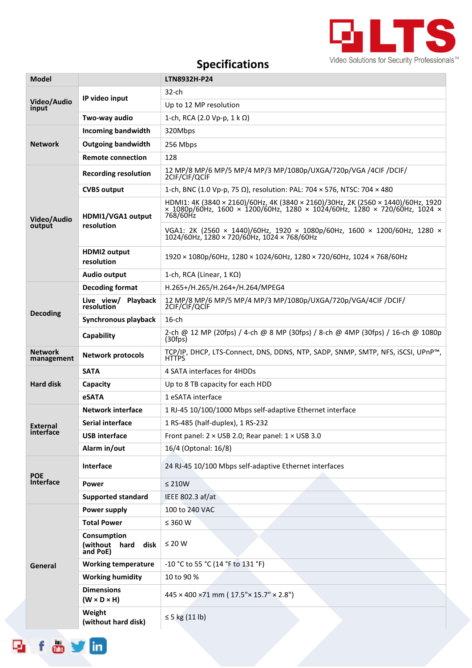

# **Specifications**

| Model                        |                                                     | LTN8932H-P24                                                                                                                                                              |  |  |
|------------------------------|-----------------------------------------------------|---------------------------------------------------------------------------------------------------------------------------------------------------------------------------|--|--|
| Video/Audio<br>input         |                                                     | 32-ch                                                                                                                                                                     |  |  |
|                              | IP video input                                      | Up to 12 MP resolution                                                                                                                                                    |  |  |
|                              | Two-way audio                                       | 1-ch, RCA (2.0 Vp-p, 1 k Ω)                                                                                                                                               |  |  |
| <b>Network</b>               | <b>Incoming bandwidth</b>                           | 320Mbps                                                                                                                                                                   |  |  |
|                              | <b>Outgoing bandwidth</b>                           | 256 Mbps                                                                                                                                                                  |  |  |
|                              | <b>Remote connection</b>                            | 128                                                                                                                                                                       |  |  |
| Video/Audio<br>output        | <b>Recording resolution</b>                         | 12 MP/8 MP/6 MP/5 MP/4 MP/3 MP/1080p/UXGA/720p/VGA /4CIF /DCIF/<br>2CIF/CIF/QCIF                                                                                          |  |  |
|                              | <b>CVBS output</b>                                  | 1-ch, BNC (1.0 Vp-p, 75 Ω), resolution: PAL: 704 $\times$ 576, NTSC: 704 $\times$ 480                                                                                     |  |  |
|                              | HDMI1/VGA1 output                                   | HDMI1: 4K (3840 × 2160)/60Hz, 4K (3840 × 2160)/30Hz, 2K (2560 × 1440)/60Hz, 1920<br>× 1080p/60Hz, 1600 × 1200/60Hz, 1280 × 1024/60Hz, 1280 × 720/60Hz, 1024 ×<br>768/60Hz |  |  |
|                              | resolution                                          | VGA1: 2K (2560 × 1440)/60Hz, 1920 × 1080p/60Hz, 1600 × 1200/60Hz, 1280 ×<br>$1024/60$ Hz, $1280 \times 720/60$ Hz, $1024 \times 768/60$ Hz                                |  |  |
|                              | <b>HDMI2 output</b><br>resolution                   | $1920 \times 1080p/60$ Hz, $1280 \times 1024/60$ Hz, $1280 \times 720/60$ Hz, $1024 \times 768/60$ Hz                                                                     |  |  |
|                              | <b>Audio output</b>                                 | 1-ch, RCA (Linear, 1 K $\Omega$ )                                                                                                                                         |  |  |
|                              | <b>Decoding format</b>                              | H.265+/H.265/H.264+/H.264/MPEG4                                                                                                                                           |  |  |
| <b>Decoding</b>              | Live view/<br>resolution<br><b>Playback</b>         | 12 MP/8 MP/6 MP/5 MP/4 MP/3 MP/1080p/UXGA/720p/VGA/4CIF /DCIF/<br>2CIF/CIF/QCIF                                                                                           |  |  |
|                              | Synchronous playback                                | $16$ -ch                                                                                                                                                                  |  |  |
|                              | Capability                                          | 2-ch @ 12 MP (20fps) / 4-ch @ 8 MP (30fps) / 8-ch @ 4MP (30fps) / 16-ch @ 1080p<br>$(30$ fps $)$                                                                          |  |  |
| <b>Network</b><br>management | <b>Network protocols</b>                            | TCP/IP, DHCP, LTS-Connect, DNS, DDNS, NTP, SADP, SNMP, SMTP, NFS, iSCSI, UPnP™,<br>HTTPS                                                                                  |  |  |
|                              | <b>SATA</b>                                         | 4 SATA interfaces for 4HDDs                                                                                                                                               |  |  |
| <b>Hard disk</b>             | Capacity                                            | Up to 8 TB capacity for each HDD                                                                                                                                          |  |  |
|                              | eSATA                                               | 1 eSATA interface                                                                                                                                                         |  |  |
|                              | <b>Network interface</b>                            | 1 RJ-45 10/100/1000 Mbps self-adaptive Ethernet interface                                                                                                                 |  |  |
| External<br>interface        | <b>Serial interface</b>                             | 1 RS-485 (half-duplex), 1 RS-232                                                                                                                                          |  |  |
|                              | <b>USB</b> interface                                | Front panel: 2 × USB 2.0; Rear panel: 1 × USB 3.0                                                                                                                         |  |  |
|                              | Alarm in/out                                        | 16/4 (Optonal: 16/8)                                                                                                                                                      |  |  |
| <b>POE</b><br>Interface      | Interface                                           | 24 RJ-45 10/100 Mbps self-adaptive Ethernet interfaces                                                                                                                    |  |  |
|                              | Power                                               | $\leq 210W$                                                                                                                                                               |  |  |
|                              | <b>Supported standard</b>                           | IEEE 802.3 af/at                                                                                                                                                          |  |  |
| General                      | Power supply                                        | 100 to 240 VAC                                                                                                                                                            |  |  |
|                              | <b>Total Power</b>                                  | $\leq$ 360 W                                                                                                                                                              |  |  |
|                              | Consumption<br>(without<br>disk<br>hard<br>and PoE) | $\leq 20$ W                                                                                                                                                               |  |  |
|                              | <b>Working temperature</b>                          | -10 °C to 55 °C (14 °F to 131 °F)                                                                                                                                         |  |  |
|                              | <b>Working humidity</b>                             | 10 to 90 %                                                                                                                                                                |  |  |
|                              | <b>Dimensions</b><br>$(W \times D \times H)$        | $445 \times 400 \times 71$ mm ( $17.5$ " $\times$ 15.7" $\times$ 2.8")                                                                                                    |  |  |
|                              | Weight<br>(without hard disk)                       | $\leq$ 5 kg (11 lb)                                                                                                                                                       |  |  |

foyin